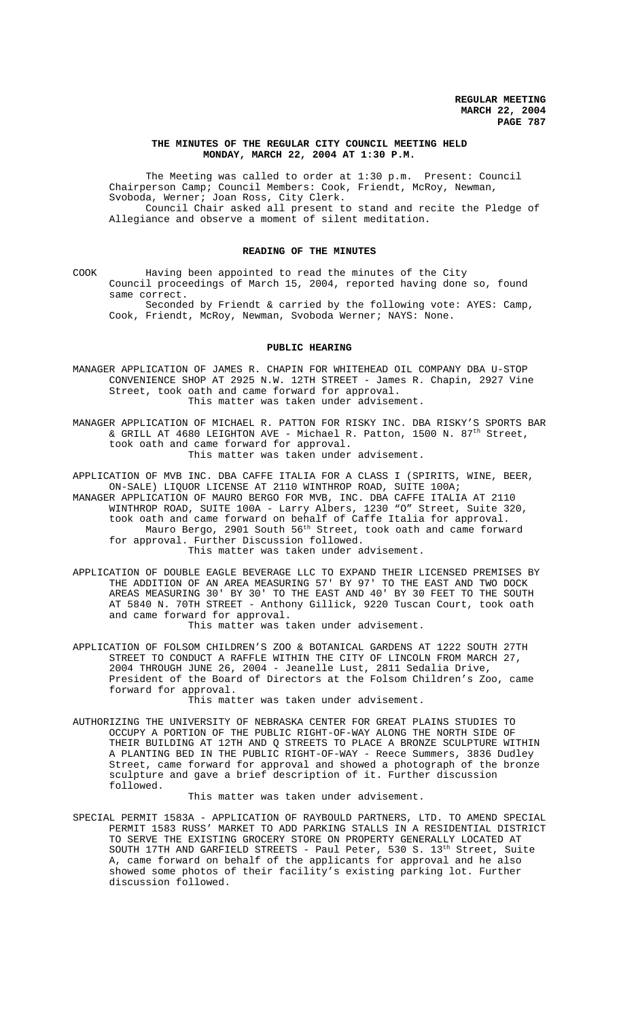# **THE MINUTES OF THE REGULAR CITY COUNCIL MEETING HELD MONDAY, MARCH 22, 2004 AT 1:30 P.M.**

The Meeting was called to order at 1:30 p.m. Present: Council Chairperson Camp; Council Members: Cook, Friendt, McRoy, Newman, Svoboda, Werner; Joan Ross, City Clerk. Council Chair asked all present to stand and recite the Pledge of Allegiance and observe a moment of silent meditation.

### **READING OF THE MINUTES**

COOK Having been appointed to read the minutes of the City Council proceedings of March 15, 2004, reported having done so, found same correct.

Seconded by Friendt & carried by the following vote: AYES: Camp, Cook, Friendt, McRoy, Newman, Svoboda Werner; NAYS: None.

## **PUBLIC HEARING**

MANAGER APPLICATION OF JAMES R. CHAPIN FOR WHITEHEAD OIL COMPANY DBA U-STOP CONVENIENCE SHOP AT 2925 N.W. 12TH STREET - James R. Chapin, 2927 Vine Street, took oath and came forward for approval. This matter was taken under advisement.

MANAGER APPLICATION OF MICHAEL R. PATTON FOR RISKY INC. DBA RISKY'S SPORTS BAR  $\&$  GRILL AT 4680 LEIGHTON AVE - Michael R. Patton, 1500 N. 87<sup>th</sup> Street, took oath and came forward for approval. This matter was taken under advisement.

APPLICATION OF MVB INC. DBA CAFFE ITALIA FOR A CLASS I (SPIRITS, WINE, BEER, ON-SALE) LIQUOR LICENSE AT 2110 WINTHROP ROAD, SUITE 100A; MANAGER APPLICATION OF MAURO BERGO FOR MVB, INC. DBA CAFFE ITALIA AT 2110 WINTHROP ROAD, SUITE 100A - Larry Albers, 1230 "O" Street, Suite 320, took oath and came forward on behalf of Caffe Italia for approval. Mauro Bergo, 2901 South 56<sup>th</sup> Street, took oath and came forward for approval. Further Discussion followed. This matter was taken under advisement.

APPLICATION OF DOUBLE EAGLE BEVERAGE LLC TO EXPAND THEIR LICENSED PREMISES BY THE ADDITION OF AN AREA MEASURING 57' BY 97' TO THE EAST AND TWO DOCK AREAS MEASURING 30' BY 30' TO THE EAST AND 40' BY 30 FEET TO THE SOUTH AT 5840 N. 70TH STREET - Anthony Gillick, 9220 Tuscan Court, took oath and came forward for approval.

This matter was taken under advisement.

APPLICATION OF FOLSOM CHILDREN'S ZOO & BOTANICAL GARDENS AT 1222 SOUTH 27TH STREET TO CONDUCT A RAFFLE WITHIN THE CITY OF LINCOLN FROM MARCH 27, 2004 THROUGH JUNE 26, 2004 - Jeanelle Lust, 2811 Sedalia Drive, President of the Board of Directors at the Folsom Children's Zoo, came forward for approval.

This matter was taken under advisement.

AUTHORIZING THE UNIVERSITY OF NEBRASKA CENTER FOR GREAT PLAINS STUDIES TO OCCUPY A PORTION OF THE PUBLIC RIGHT-OF-WAY ALONG THE NORTH SIDE OF THEIR BUILDING AT 12TH AND Q STREETS TO PLACE A BRONZE SCULPTURE WITHIN A PLANTING BED IN THE PUBLIC RIGHT-OF-WAY - Reece Summers, 3836 Dudley Street, came forward for approval and showed a photograph of the bronze sculpture and gave a brief description of it. Further discussion followed.

This matter was taken under advisement.

SPECIAL PERMIT 1583A - APPLICATION OF RAYBOULD PARTNERS, LTD. TO AMEND SPECIAL PERMIT 1583 RUSS' MARKET TO ADD PARKING STALLS IN A RESIDENTIAL DISTRICT TO SERVE THE EXISTING GROCERY STORE ON PROPERTY GENERALLY LOCATED AT SOUTH 17TH AND GARFIELD STREETS - Paul Peter, 530 S. 13<sup>th</sup> Street, Suite A, came forward on behalf of the applicants for approval and he also showed some photos of their facility's existing parking lot. Further discussion followed.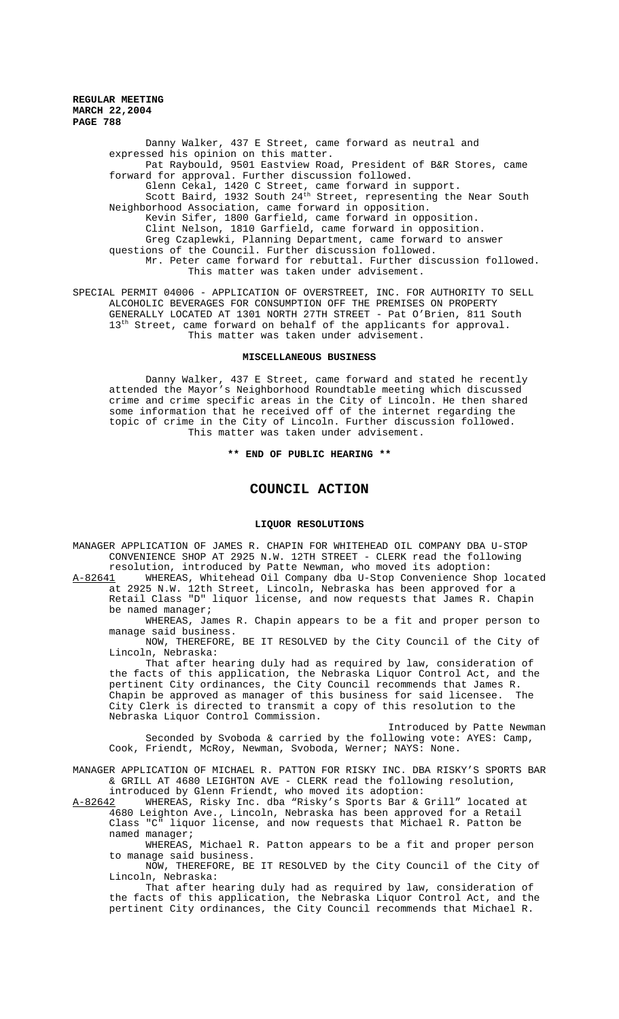> Danny Walker, 437 E Street, came forward as neutral and expressed his opinion on this matter. Pat Raybould, 9501 Eastview Road, President of B&R Stores, came forward for approval. Further discussion followed. Glenn Cekal, 1420 C Street, came forward in support. Scott Baird, 1932 South 24<sup>th</sup> Street, representing the Near South Neighborhood Association, came forward in opposition. Kevin Sifer, 1800 Garfield, came forward in opposition. Clint Nelson, 1810 Garfield, came forward in opposition. Greg Czaplewki, Planning Department, came forward to answer questions of the Council. Further discussion followed. Mr. Peter came forward for rebuttal. Further discussion followed. This matter was taken under advisement.

SPECIAL PERMIT 04006 - APPLICATION OF OVERSTREET, INC. FOR AUTHORITY TO SELL ALCOHOLIC BEVERAGES FOR CONSUMPTION OFF THE PREMISES ON PROPERTY GENERALLY LOCATED AT 1301 NORTH 27TH STREET - Pat O'Brien, 811 South 13<sup>th</sup> Street, came forward on behalf of the applicants for approval. This matter was taken under advisement.

### **MISCELLANEOUS BUSINESS**

Danny Walker, 437 E Street, came forward and stated he recently attended the Mayor's Neighborhood Roundtable meeting which discussed crime and crime specific areas in the City of Lincoln. He then shared some information that he received off of the internet regarding the topic of crime in the City of Lincoln. Further discussion followed. This matter was taken under advisement.

**\*\* END OF PUBLIC HEARING \*\***

# **COUNCIL ACTION**

# **LIQUOR RESOLUTIONS**

MANAGER APPLICATION OF JAMES R. CHAPIN FOR WHITEHEAD OIL COMPANY DBA U-STOP CONVENIENCE SHOP AT 2925 N.W. 12TH STREET - CLERK read the following resolution, introduced by Patte Newman, who moved its adoption:

A-82641 WHEREAS, Whitehead Oil Company dba U-Stop Convenience Shop located at 2925 N.W. 12th Street, Lincoln, Nebraska has been approved for a Retail Class "D" liquor license, and now requests that James R. Chapin be named manager;

WHEREAS, James R. Chapin appears to be a fit and proper person to manage said business.

NOW, THEREFORE, BE IT RESOLVED by the City Council of the City of Lincoln, Nebraska:

That after hearing duly had as required by law, consideration of the facts of this application, the Nebraska Liquor Control Act, and the pertinent City ordinances, the City Council recommends that James R. Chapin be approved as manager of this business for said licensee. The City Clerk is directed to transmit a copy of this resolution to the Nebraska Liquor Control Commission.

Introduced by Patte Newman Seconded by Svoboda & carried by the following vote: AYES: Camp, Cook, Friendt, McRoy, Newman, Svoboda, Werner; NAYS: None.

MANAGER APPLICATION OF MICHAEL R. PATTON FOR RISKY INC. DBA RISKY'S SPORTS BAR & GRILL AT 4680 LEIGHTON AVE - CLERK read the following resolution, introduced by Glenn Friendt, who moved its adoption:<br>A-82642 WHEREAS, Risky Inc. dba "Risky's Sports Bar &

WHEREAS, Risky Inc. dba "Risky's Sports Bar & Grill" located at 4680 Leighton Ave., Lincoln, Nebraska has been approved for a Retail Class "C" liquor license, and now requests that Michael R. Patton be named manager;

WHEREAS, Michael R. Patton appears to be a fit and proper person to manage said business.

NOW, THEREFORE, BE IT RESOLVED by the City Council of the City of Lincoln, Nebraska:

That after hearing duly had as required by law, consideration of the facts of this application, the Nebraska Liquor Control Act, and the pertinent City ordinances, the City Council recommends that Michael R.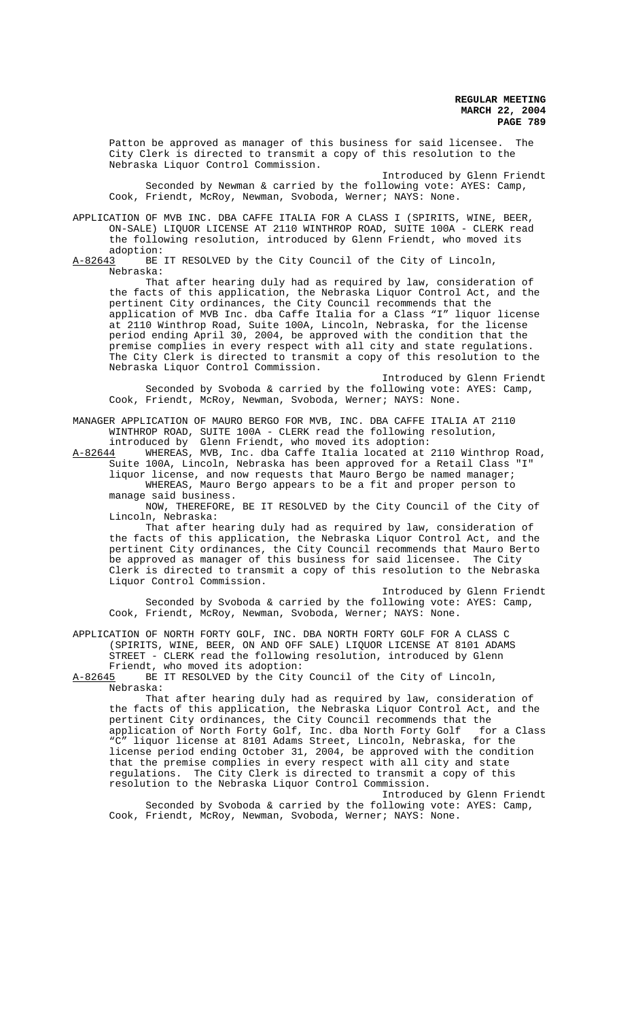Patton be approved as manager of this business for said licensee. The City Clerk is directed to transmit a copy of this resolution to the Nebraska Liquor Control Commission.

Introduced by Glenn Friendt Seconded by Newman & carried by the following vote: AYES: Camp, Cook, Friendt, McRoy, Newman, Svoboda, Werner; NAYS: None.

APPLICATION OF MVB INC. DBA CAFFE ITALIA FOR A CLASS I (SPIRITS, WINE, BEER, ON-SALE) LIQUOR LICENSE AT 2110 WINTHROP ROAD, SUITE 100A - CLERK read the following resolution, introduced by Glenn Friendt, who moved its adoption:<br>A-82643 BE

BE IT RESOLVED by the City Council of the City of Lincoln, Nebraska:

That after hearing duly had as required by law, consideration of the facts of this application, the Nebraska Liquor Control Act, and the pertinent City ordinances, the City Council recommends that the application of MVB Inc. dba Caffe Italia for a Class "I" liquor license at 2110 Winthrop Road, Suite 100A, Lincoln, Nebraska, for the license period ending April 30, 2004, be approved with the condition that the premise complies in every respect with all city and state regulations. The City Clerk is directed to transmit a copy of this resolution to the Nebraska Liquor Control Commission.

Introduced by Glenn Friendt Seconded by Svoboda & carried by the following vote: AYES: Camp, Cook, Friendt, McRoy, Newman, Svoboda, Werner; NAYS: None.

MANAGER APPLICATION OF MAURO BERGO FOR MVB, INC. DBA CAFFE ITALIA AT 2110 WINTHROP ROAD, SUITE 100A - CLERK read the following resolution, introduced by Glenn Friendt, who moved its adoption:

A-82644 WHEREAS, MVB, Inc. dba Caffe Italia located at 2110 Winthrop Road, Suite 100A, Lincoln, Nebraska has been approved for a Retail Class "I" liquor license, and now requests that Mauro Bergo be named manager; WHEREAS, Mauro Bergo appears to be a fit and proper person to manage said business.

NOW, THEREFORE, BE IT RESOLVED by the City Council of the City of Lincoln, Nebraska:

That after hearing duly had as required by law, consideration of the facts of this application, the Nebraska Liquor Control Act, and the pertinent City ordinances, the City Council recommends that Mauro Berto be approved as manager of this business for said licensee. The City Clerk is directed to transmit a copy of this resolution to the Nebraska Liquor Control Commission.

Introduced by Glenn Friendt Seconded by Svoboda & carried by the following vote: AYES: Camp, Cook, Friendt, McRoy, Newman, Svoboda, Werner; NAYS: None.

APPLICATION OF NORTH FORTY GOLF, INC. DBA NORTH FORTY GOLF FOR A CLASS C (SPIRITS, WINE, BEER, ON AND OFF SALE) LIQUOR LICENSE AT 8101 ADAMS STREET - CLERK read the following resolution, introduced by Glenn Friendt, who moved its adoption:

A-82645 BE IT RESOLVED by the City Council of the City of Lincoln, Nebraska:

That after hearing duly had as required by law, consideration of the facts of this application, the Nebraska Liquor Control Act, and the pertinent City ordinances, the City Council recommends that the application of North Forty Golf, Inc. dba North Forty Golf for a Class "C" liquor license at 8101 Adams Street, Lincoln, Nebraska, for the license period ending October 31, 2004, be approved with the condition that the premise complies in every respect with all city and state regulations. The City Clerk is directed to transmit a copy of this resolution to the Nebraska Liquor Control Commission.

Introduced by Glenn Friendt Seconded by Svoboda & carried by the following vote: AYES: Camp, Cook, Friendt, McRoy, Newman, Svoboda, Werner; NAYS: None.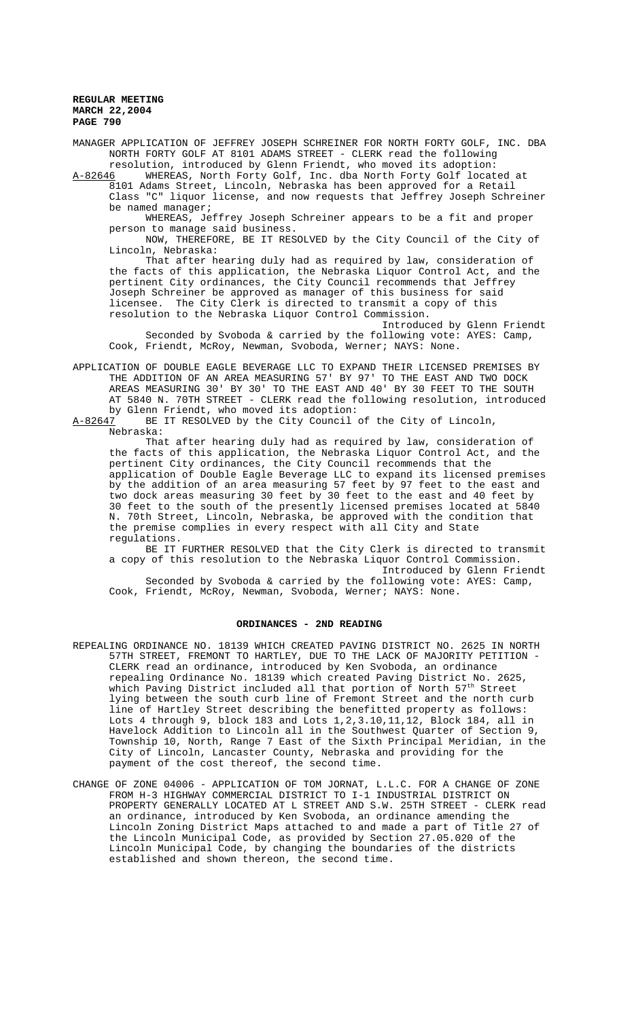MANAGER APPLICATION OF JEFFREY JOSEPH SCHREINER FOR NORTH FORTY GOLF, INC. DBA NORTH FORTY GOLF AT 8101 ADAMS STREET - CLERK read the following resolution, introduced by Glenn Friendt, who moved its adoption:

A-82646 WHEREAS, North Forty Golf, Inc. dba North Forty Golf located at 8101 Adams Street, Lincoln, Nebraska has been approved for a Retail Class "C" liquor license, and now requests that Jeffrey Joseph Schreiner be named manager;

WHEREAS, Jeffrey Joseph Schreiner appears to be a fit and proper person to manage said business.

NOW, THEREFORE, BE IT RESOLVED by the City Council of the City of Lincoln, Nebraska:

That after hearing duly had as required by law, consideration of the facts of this application, the Nebraska Liquor Control Act, and the pertinent City ordinances, the City Council recommends that Jeffrey Joseph Schreiner be approved as manager of this business for said licensee. The City Clerk is directed to transmit a copy of this resolution to the Nebraska Liquor Control Commission.

Introduced by Glenn Friendt Seconded by Svoboda & carried by the following vote: AYES: Camp, Cook, Friendt, McRoy, Newman, Svoboda, Werner; NAYS: None.

APPLICATION OF DOUBLE EAGLE BEVERAGE LLC TO EXPAND THEIR LICENSED PREMISES BY THE ADDITION OF AN AREA MEASURING 57' BY 97' TO THE EAST AND TWO DOCK AREAS MEASURING 30' BY 30' TO THE EAST AND 40' BY 30 FEET TO THE SOUTH AT 5840 N. 70TH STREET - CLERK read the following resolution, introduced by Glenn Friendt, who moved its adoption:<br>A-82647 BE IT RESOLVED by the City Council

BE IT RESOLVED by the City Council of the City of Lincoln, Nebraska:

That after hearing duly had as required by law, consideration of the facts of this application, the Nebraska Liquor Control Act, and the pertinent City ordinances, the City Council recommends that the application of Double Eagle Beverage LLC to expand its licensed premises by the addition of an area measuring 57 feet by 97 feet to the east and two dock areas measuring 30 feet by 30 feet to the east and 40 feet by 30 feet to the south of the presently licensed premises located at 5840 N. 70th Street, Lincoln, Nebraska, be approved with the condition that the premise complies in every respect with all City and State regulations.

BE IT FURTHER RESOLVED that the City Clerk is directed to transmit a copy of this resolution to the Nebraska Liquor Control Commission. Introduced by Glenn Friendt

Seconded by Svoboda & carried by the following vote: AYES: Camp, Cook, Friendt, McRoy, Newman, Svoboda, Werner; NAYS: None.

### **ORDINANCES - 2ND READING**

- REPEALING ORDINANCE NO. 18139 WHICH CREATED PAVING DISTRICT NO. 2625 IN NORTH 57TH STREET, FREMONT TO HARTLEY, DUE TO THE LACK OF MAJORITY PETITION - CLERK read an ordinance, introduced by Ken Svoboda, an ordinance repealing Ordinance No. 18139 which created Paving District No. 2625, which Paving District included all that portion of North 57<sup>th</sup> Street lying between the south curb line of Fremont Street and the north curb line of Hartley Street describing the benefitted property as follows: Lots 4 through 9, block 183 and Lots  $1, 2, 3.10, 11, 12$ , Block 184, all in Havelock Addition to Lincoln all in the Southwest Quarter of Section 9, Township 10, North, Range 7 East of the Sixth Principal Meridian, in the City of Lincoln, Lancaster County, Nebraska and providing for the payment of the cost thereof, the second time.
- CHANGE OF ZONE 04006 APPLICATION OF TOM JORNAT, L.L.C. FOR A CHANGE OF ZONE FROM H-3 HIGHWAY COMMERCIAL DISTRICT TO I-1 INDUSTRIAL DISTRICT ON PROPERTY GENERALLY LOCATED AT L STREET AND S.W. 25TH STREET - CLERK read an ordinance, introduced by Ken Svoboda, an ordinance amending the Lincoln Zoning District Maps attached to and made a part of Title 27 of the Lincoln Municipal Code, as provided by Section 27.05.020 of the Lincoln Municipal Code, by changing the boundaries of the districts established and shown thereon, the second time.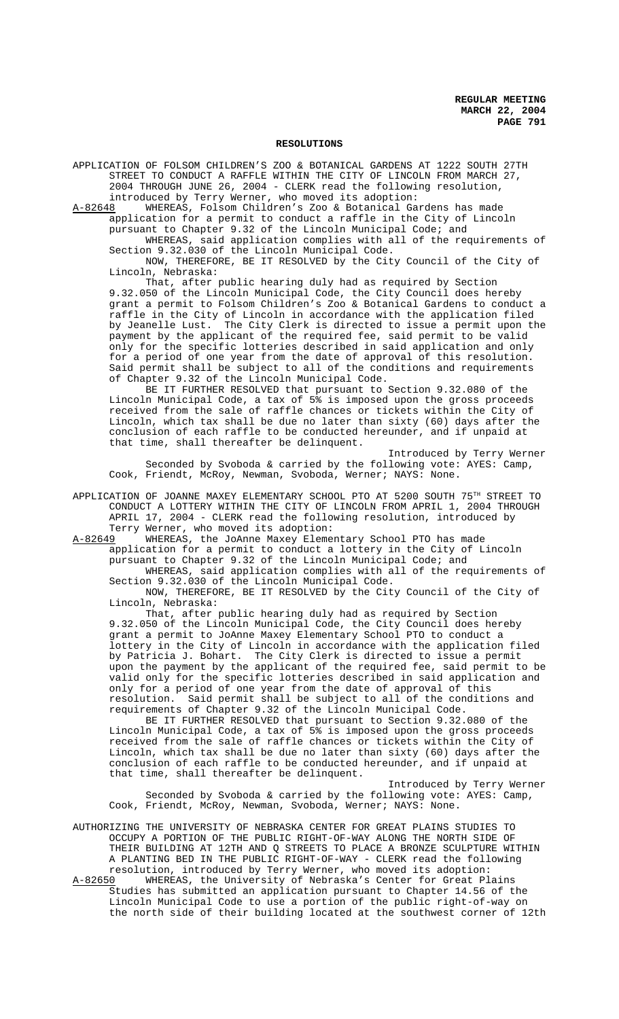### **RESOLUTIONS**

APPLICATION OF FOLSOM CHILDREN'S ZOO & BOTANICAL GARDENS AT 1222 SOUTH 27TH STREET TO CONDUCT A RAFFLE WITHIN THE CITY OF LINCOLN FROM MARCH 27, 2004 THROUGH JUNE 26, 2004 - CLERK read the following resolution, introduced by Terry Werner, who moved its adoption:

A-82648 WHEREAS, Folsom Children's Zoo & Botanical Gardens has made application for a permit to conduct a raffle in the City of Lincoln pursuant to Chapter 9.32 of the Lincoln Municipal Code; and

WHEREAS, said application complies with all of the requirements of Section 9.32.030 of the Lincoln Municipal Code.

NOW, THEREFORE, BE IT RESOLVED by the City Council of the City of Lincoln, Nebraska:

That, after public hearing duly had as required by Section 9.32.050 of the Lincoln Municipal Code, the City Council does hereby grant a permit to Folsom Children's Zoo & Botanical Gardens to conduct a raffle in the City of Lincoln in accordance with the application filed by Jeanelle Lust. The City Clerk is directed to issue a permit upon the payment by the applicant of the required fee, said permit to be valid only for the specific lotteries described in said application and only for a period of one year from the date of approval of this resolution. Said permit shall be subject to all of the conditions and requirements of Chapter 9.32 of the Lincoln Municipal Code.

BE IT FURTHER RESOLVED that pursuant to Section 9.32.080 of the Lincoln Municipal Code, a tax of 5% is imposed upon the gross proceeds received from the sale of raffle chances or tickets within the City of Lincoln, which tax shall be due no later than sixty (60) days after the conclusion of each raffle to be conducted hereunder, and if unpaid at that time, shall thereafter be delinquent.

Introduced by Terry Werner Seconded by Svoboda & carried by the following vote: AYES: Camp, Cook, Friendt, McRoy, Newman, Svoboda, Werner; NAYS: None.

APPLICATION OF JOANNE MAXEY ELEMENTARY SCHOOL PTO AT 5200 SOUTH 75TH STREET TO CONDUCT A LOTTERY WITHIN THE CITY OF LINCOLN FROM APRIL 1, 2004 THROUGH APRIL 17, 2004 - CLERK read the following resolution, introduced by Terry Werner, who moved its adoption:<br>A-82649 WHEREAS, the JoAnne Maxey Elemen

WHEREAS, the JoAnne Maxey Elementary School PTO has made application for a permit to conduct a lottery in the City of Lincoln pursuant to Chapter 9.32 of the Lincoln Municipal Code; and WHEREAS, said application complies with all of the requirements of Section 9.32.030 of the Lincoln Municipal Code.

NOW, THEREFORE, BE IT RESOLVED by the City Council of the City of Lincoln, Nebraska:

That, after public hearing duly had as required by Section 9.32.050 of the Lincoln Municipal Code, the City Council does hereby grant a permit to JoAnne Maxey Elementary School PTO to conduct a lottery in the City of Lincoln in accordance with the application filed by Patricia J. Bohart. The City Clerk is directed to issue a permit upon the payment by the applicant of the required fee, said permit to be valid only for the specific lotteries described in said application and only for a period of one year from the date of approval of this resolution. Said permit shall be subject to all of the conditions and requirements of Chapter 9.32 of the Lincoln Municipal Code.

BE IT FURTHER RESOLVED that pursuant to Section 9.32.080 of the Lincoln Municipal Code, a tax of 5% is imposed upon the gross proceeds received from the sale of raffle chances or tickets within the City of Lincoln, which tax shall be due no later than sixty (60) days after the conclusion of each raffle to be conducted hereunder, and if unpaid at that time, shall thereafter be delinquent.

Introduced by Terry Werner Seconded by Svoboda & carried by the following vote: AYES: Camp, Cook, Friendt, McRoy, Newman, Svoboda, Werner; NAYS: None.

AUTHORIZING THE UNIVERSITY OF NEBRASKA CENTER FOR GREAT PLAINS STUDIES TO OCCUPY A PORTION OF THE PUBLIC RIGHT-OF-WAY ALONG THE NORTH SIDE OF THEIR BUILDING AT 12TH AND Q STREETS TO PLACE A BRONZE SCULPTURE WITHIN A PLANTING BED IN THE PUBLIC RIGHT-OF-WAY - CLERK read the following resolution, introduced by Terry Werner, who moved its adoption:

A-82650 WHEREAS, the University of Nebraska's Center for Great Plains Studies has submitted an application pursuant to Chapter 14.56 of the Lincoln Municipal Code to use a portion of the public right-of-way on the north side of their building located at the southwest corner of 12th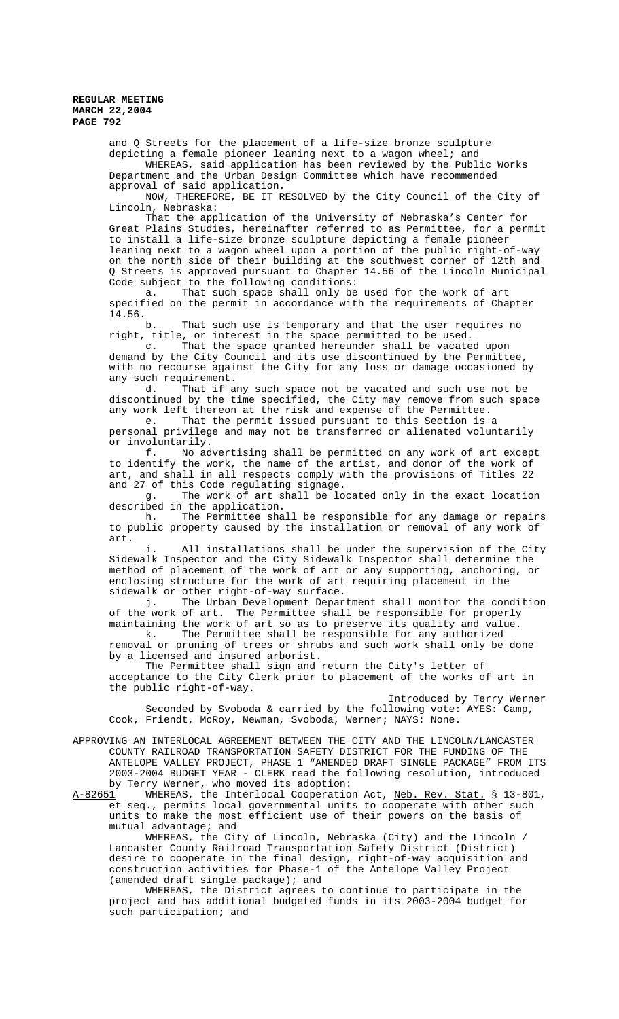> and Q Streets for the placement of a life-size bronze sculpture depicting a female pioneer leaning next to a wagon wheel; and WHEREAS, said application has been reviewed by the Public Works Department and the Urban Design Committee which have recommended approval of said application.

NOW, THEREFORE, BE IT RESOLVED by the City Council of the City of Lincoln, Nebraska:

That the application of the University of Nebraska's Center for Great Plains Studies, hereinafter referred to as Permittee, for a permit to install a life-size bronze sculpture depicting a female pioneer leaning next to a wagon wheel upon a portion of the public right-of-way on the north side of their building at the southwest corner of 12th and Q Streets is approved pursuant to Chapter 14.56 of the Lincoln Municipal Code subject to the following conditions:

a. That such space shall only be used for the work of art specified on the permit in accordance with the requirements of Chapter 14.56.

b. That such use is temporary and that the user requires no right, title, or interest in the space permitted to be used.

c. That the space granted hereunder shall be vacated upon demand by the City Council and its use discontinued by the Permittee, with no recourse against the City for any loss or damage occasioned by any such requirement.

d. That if any such space not be vacated and such use not be discontinued by the time specified, the City may remove from such space any work left thereon at the risk and expense of the Permittee.

e. That the permit issued pursuant to this Section is a personal privilege and may not be transferred or alienated voluntarily or involuntarily.

f. No advertising shall be permitted on any work of art except to identify the work, the name of the artist, and donor of the work of art, and shall in all respects comply with the provisions of Titles 22 and 27 of this Code regulating signage.

g. The work of art shall be located only in the exact location described in the application.<br>h. The Permittee sha

The Permittee shall be responsible for any damage or repairs to public property caused by the installation or removal of any work of art.

All installations shall be under the supervision of the City Sidewalk Inspector and the City Sidewalk Inspector shall determine the method of placement of the work of art or any supporting, anchoring, or enclosing structure for the work of art requiring placement in the sidewalk or other right-of-way surface.

j. The Urban Development Department shall monitor the condition of the work of art. The Permittee shall be responsible for properly maintaining the work of art so as to preserve its quality and value. k. The Permittee shall be responsible for any authorized

removal or pruning of trees or shrubs and such work shall only be done by a licensed and insured arborist.

The Permittee shall sign and return the City's letter of acceptance to the City Clerk prior to placement of the works of art in the public right-of-way.

Introduced by Terry Werner Seconded by Svoboda & carried by the following vote: AYES: Camp, Cook, Friendt, McRoy, Newman, Svoboda, Werner; NAYS: None.

APPROVING AN INTERLOCAL AGREEMENT BETWEEN THE CITY AND THE LINCOLN/LANCASTER COUNTY RAILROAD TRANSPORTATION SAFETY DISTRICT FOR THE FUNDING OF THE ANTELOPE VALLEY PROJECT, PHASE 1 "AMENDED DRAFT SINGLE PACKAGE" FROM ITS 2003-2004 BUDGET YEAR - CLERK read the following resolution, introduced by Terry Werner, who moved its adoption:<br>A-82651 WHEREAS, the Interlocal Cooperation

WHEREAS, the Interlocal Cooperation Act, Neb. Rev. Stat. § 13-801, et seq., permits local governmental units to cooperate with other such units to make the most efficient use of their powers on the basis of mutual advantage; and

WHEREAS, the City of Lincoln, Nebraska (City) and the Lincoln / Lancaster County Railroad Transportation Safety District (District) desire to cooperate in the final design, right-of-way acquisition and construction activities for Phase-1 of the Antelope Valley Project (amended draft single package); and

WHEREAS, the District agrees to continue to participate in the project and has additional budgeted funds in its 2003-2004 budget for such participation; and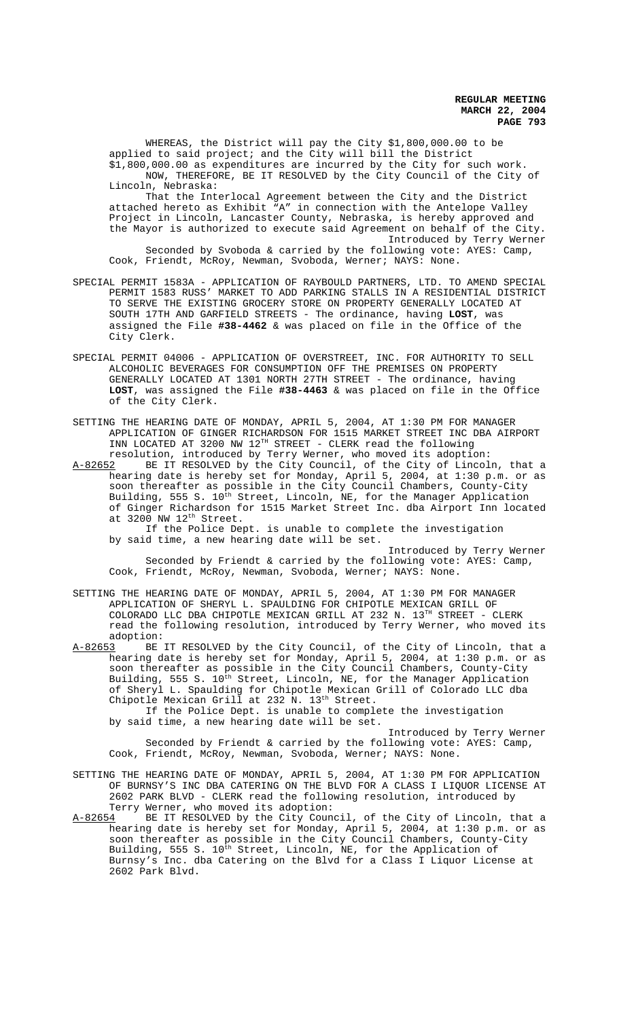WHEREAS, the District will pay the City \$1,800,000.00 to be applied to said project; and the City will bill the District \$1,800,000.00 as expenditures are incurred by the City for such work. NOW, THEREFORE, BE IT RESOLVED by the City Council of the City of Lincoln, Nebraska:

That the Interlocal Agreement between the City and the District attached hereto as Exhibit "A" in connection with the Antelope Valley Project in Lincoln, Lancaster County, Nebraska, is hereby approved and the Mayor is authorized to execute said Agreement on behalf of the City. Introduced by Terry Werner Seconded by Svoboda & carried by the following vote: AYES: Camp,

Cook, Friendt, McRoy, Newman, Svoboda, Werner; NAYS: None.

- SPECIAL PERMIT 1583A APPLICATION OF RAYBOULD PARTNERS, LTD. TO AMEND SPECIAL PERMIT 1583 RUSS' MARKET TO ADD PARKING STALLS IN A RESIDENTIAL DISTRICT TO SERVE THE EXISTING GROCERY STORE ON PROPERTY GENERALLY LOCATED AT SOUTH 17TH AND GARFIELD STREETS - The ordinance, having **LOST**, was assigned the File **#38-4462** & was placed on file in the Office of the City Clerk.
- SPECIAL PERMIT 04006 APPLICATION OF OVERSTREET, INC. FOR AUTHORITY TO SELL ALCOHOLIC BEVERAGES FOR CONSUMPTION OFF THE PREMISES ON PROPERTY GENERALLY LOCATED AT 1301 NORTH 27TH STREET - The ordinance, having **LOST**, was assigned the File **#38-4463** & was placed on file in the Office of the City Clerk.
- SETTING THE HEARING DATE OF MONDAY, APRIL 5, 2004, AT 1:30 PM FOR MANAGER APPLICATION OF GINGER RICHARDSON FOR 1515 MARKET STREET INC DBA AIRPORT INN LOCATED AT 3200 NW  $12^{TH}$  STREET - CLERK read the following resolution, introduced by Terry Werner, who moved its adoption:
- A-82652 BE IT RESOLVED by the City Council, of the City of Lincoln, that a hearing date is hereby set for Monday, April 5, 2004, at 1:30 p.m. or as soon thereafter as possible in the City Council Chambers, County-City Building, 555 S. 10<sup>th</sup> Street, Lincoln, NE, for the Manager Application of Ginger Richardson for 1515 Market Street Inc. dba Airport Inn located at 3200 NW 12<sup>th</sup> Street.
	- If the Police Dept. is unable to complete the investigation by said time, a new hearing date will be set.

Introduced by Terry Werner Seconded by Friendt & carried by the following vote: AYES: Camp, Cook, Friendt, McRoy, Newman, Svoboda, Werner; NAYS: None.

- SETTING THE HEARING DATE OF MONDAY, APRIL 5, 2004, AT 1:30 PM FOR MANAGER APPLICATION OF SHERYL L. SPAULDING FOR CHIPOTLE MEXICAN GRILL OF COLORADO LLC DBA CHIPOTLE MEXICAN GRILL AT 232 N. 13TH STREET - CLERK read the following resolution, introduced by Terry Werner, who moved its
- adoption:<br>A-82653 BE BE IT RESOLVED by the City Council, of the City of Lincoln, that a hearing date is hereby set for Monday, April 5, 2004, at 1:30 p.m. or as soon thereafter as possible in the City Council Chambers, County-City Building, 555 S. 10th Street, Lincoln, NE, for the Manager Application of Sheryl L. Spaulding for Chipotle Mexican Grill of Colorado LLC dba Chipotle Mexican Grill at 232 N. 13<sup>th</sup> Street.

If the Police Dept. is unable to complete the investigation by said time, a new hearing date will be set.

Introduced by Terry Werner Seconded by Friendt & carried by the following vote: AYES: Camp, Cook, Friendt, McRoy, Newman, Svoboda, Werner; NAYS: None.

- SETTING THE HEARING DATE OF MONDAY, APRIL 5, 2004, AT 1:30 PM FOR APPLICATION OF BURNSY'S INC DBA CATERING ON THE BLVD FOR A CLASS I LIQUOR LICENSE AT 2602 PARK BLVD - CLERK read the following resolution, introduced by Terry Werner, who moved its adoption:
- A-82654 BE IT RESOLVED by the City Council, of the City of Lincoln, that a hearing date is hereby set for Monday, April 5, 2004, at 1:30 p.m. or as soon thereafter as possible in the City Council Chambers, County-City Building, 555 S. 10<sup>th</sup> Street, Lincoln, NE, for the Application of Burnsy's Inc. dba Catering on the Blvd for a Class I Liquor License at 2602 Park Blvd.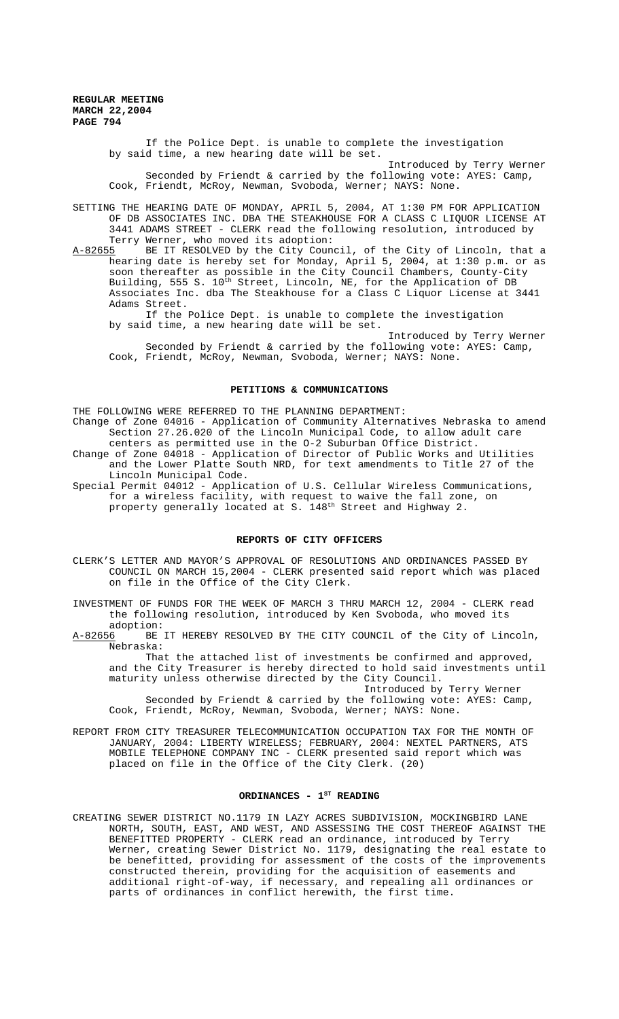> If the Police Dept. is unable to complete the investigation by said time, a new hearing date will be set.

Introduced by Terry Werner Seconded by Friendt & carried by the following vote: AYES: Camp, Cook, Friendt, McRoy, Newman, Svoboda, Werner; NAYS: None.

SETTING THE HEARING DATE OF MONDAY, APRIL 5, 2004, AT 1:30 PM FOR APPLICATION OF DB ASSOCIATES INC. DBA THE STEAKHOUSE FOR A CLASS C LIQUOR LICENSE AT 3441 ADAMS STREET - CLERK read the following resolution, introduced by Terry Werner, who moved its adoption:

A-82655 BE IT RESOLVED by the City Council, of the City of Lincoln, that a hearing date is hereby set for Monday, April 5, 2004, at 1:30 p.m. or as soon thereafter as possible in the City Council Chambers, County-City Building, 555 S. 10<sup>th</sup> Street, Lincoln, NE, for the Application of DB Associates Inc. dba The Steakhouse for a Class C Liquor License at 3441 Adams Street.

If the Police Dept. is unable to complete the investigation by said time, a new hearing date will be set.

Introduced by Terry Werner Seconded by Friendt & carried by the following vote: AYES: Camp, Cook, Friendt, McRoy, Newman, Svoboda, Werner; NAYS: None.

#### **PETITIONS & COMMUNICATIONS**

THE FOLLOWING WERE REFERRED TO THE PLANNING DEPARTMENT: Change of Zone 04016 - Application of Community Alternatives Nebraska to amend Section 27.26.020 of the Lincoln Municipal Code, to allow adult care centers as permitted use in the O-2 Suburban Office District. Change of Zone 04018 - Application of Director of Public Works and Utilities

and the Lower Platte South NRD, for text amendments to Title 27 of the Lincoln Municipal Code. Special Permit 04012 - Application of U.S. Cellular Wireless Communications,

for a wireless facility, with request to waive the fall zone, on property generally located at S. 148<sup>th</sup> Street and Highway 2.

# **REPORTS OF CITY OFFICERS**

- CLERK'S LETTER AND MAYOR'S APPROVAL OF RESOLUTIONS AND ORDINANCES PASSED BY COUNCIL ON MARCH 15,2004 - CLERK presented said report which was placed on file in the Office of the City Clerk.
- INVESTMENT OF FUNDS FOR THE WEEK OF MARCH 3 THRU MARCH 12, 2004 CLERK read the following resolution, introduced by Ken Svoboda, who moved its
- adoption:<br>A-82656 BE BE IT HEREBY RESOLVED BY THE CITY COUNCIL of the City of Lincoln, Nebraska:

That the attached list of investments be confirmed and approved, and the City Treasurer is hereby directed to hold said investments until maturity unless otherwise directed by the City Council. Introduced by Terry Werner

Seconded by Friendt & carried by the following vote: AYES: Camp, Cook, Friendt, McRoy, Newman, Svoboda, Werner; NAYS: None.

REPORT FROM CITY TREASURER TELECOMMUNICATION OCCUPATION TAX FOR THE MONTH OF JANUARY, 2004: LIBERTY WIRELESS; FEBRUARY, 2004: NEXTEL PARTNERS, ATS MOBILE TELEPHONE COMPANY INC - CLERK presented said report which was placed on file in the Office of the City Clerk. (20)

# ORDINANCES - 1<sup>st</sup> READING

CREATING SEWER DISTRICT NO.1179 IN LAZY ACRES SUBDIVISION, MOCKINGBIRD LANE NORTH, SOUTH, EAST, AND WEST, AND ASSESSING THE COST THEREOF AGAINST THE BENEFITTED PROPERTY - CLERK read an ordinance, introduced by Terry Werner, creating Sewer District No. 1179, designating the real estate to be benefitted, providing for assessment of the costs of the improvements constructed therein, providing for the acquisition of easements and additional right-of-way, if necessary, and repealing all ordinances or parts of ordinances in conflict herewith, the first time.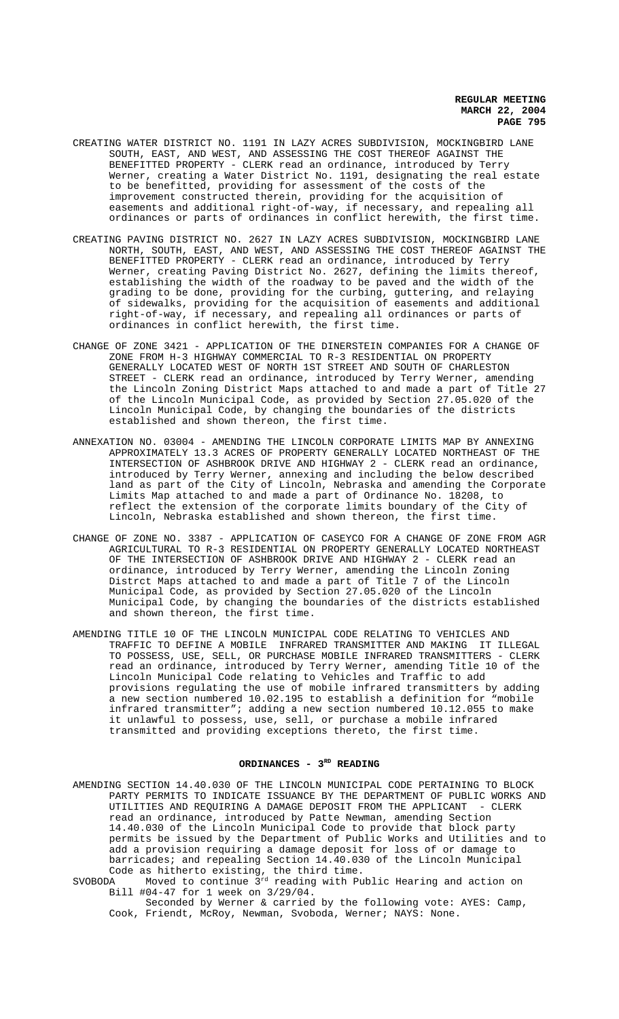- CREATING WATER DISTRICT NO. 1191 IN LAZY ACRES SUBDIVISION, MOCKINGBIRD LANE SOUTH, EAST, AND WEST, AND ASSESSING THE COST THEREOF AGAINST THE BENEFITTED PROPERTY - CLERK read an ordinance, introduced by Terry Werner, creating a Water District No. 1191, designating the real estate to be benefitted, providing for assessment of the costs of the improvement constructed therein, providing for the acquisition of easements and additional right-of-way, if necessary, and repealing all ordinances or parts of ordinances in conflict herewith, the first time.
- CREATING PAVING DISTRICT NO. 2627 IN LAZY ACRES SUBDIVISION, MOCKINGBIRD LANE NORTH, SOUTH, EAST, AND WEST, AND ASSESSING THE COST THEREOF AGAINST THE BENEFITTED PROPERTY - CLERK read an ordinance, introduced by Terry Werner, creating Paving District No. 2627, defining the limits thereof, establishing the width of the roadway to be paved and the width of the grading to be done, providing for the curbing, guttering, and relaying of sidewalks, providing for the acquisition of easements and additional right-of-way, if necessary, and repealing all ordinances or parts of ordinances in conflict herewith, the first time.
- CHANGE OF ZONE 3421 APPLICATION OF THE DINERSTEIN COMPANIES FOR A CHANGE OF ZONE FROM H-3 HIGHWAY COMMERCIAL TO R-3 RESIDENTIAL ON PROPERTY GENERALLY LOCATED WEST OF NORTH 1ST STREET AND SOUTH OF CHARLESTON STREET - CLERK read an ordinance, introduced by Terry Werner, amending the Lincoln Zoning District Maps attached to and made a part of Title 27 of the Lincoln Municipal Code, as provided by Section 27.05.020 of the Lincoln Municipal Code, by changing the boundaries of the districts established and shown thereon, the first time.
- ANNEXATION NO. 03004 AMENDING THE LINCOLN CORPORATE LIMITS MAP BY ANNEXING APPROXIMATELY 13.3 ACRES OF PROPERTY GENERALLY LOCATED NORTHEAST OF THE INTERSECTION OF ASHBROOK DRIVE AND HIGHWAY 2 - CLERK read an ordinance, introduced by Terry Werner, annexing and including the below described land as part of the City of Lincoln, Nebraska and amending the Corporate Limits Map attached to and made a part of Ordinance No. 18208, to reflect the extension of the corporate limits boundary of the City of Lincoln, Nebraska established and shown thereon, the first time.
- CHANGE OF ZONE NO. 3387 APPLICATION OF CASEYCO FOR A CHANGE OF ZONE FROM AGR AGRICULTURAL TO R-3 RESIDENTIAL ON PROPERTY GENERALLY LOCATED NORTHEAST OF THE INTERSECTION OF ASHBROOK DRIVE AND HIGHWAY 2 - CLERK read an ordinance, introduced by Terry Werner, amending the Lincoln Zoning Distrct Maps attached to and made a part of Title 7 of the Lincoln Municipal Code, as provided by Section 27.05.020 of the Lincoln Municipal Code, by changing the boundaries of the districts established and shown thereon, the first time.
- AMENDING TITLE 10 OF THE LINCOLN MUNICIPAL CODE RELATING TO VEHICLES AND TRAFFIC TO DEFINE A MOBILE INFRARED TRANSMITTER AND MAKING IT ILLEGAL TO POSSESS, USE, SELL, OR PURCHASE MOBILE INFRARED TRANSMITTERS - CLERK read an ordinance, introduced by Terry Werner, amending Title 10 of the Lincoln Municipal Code relating to Vehicles and Traffic to add provisions regulating the use of mobile infrared transmitters by adding a new section numbered 10.02.195 to establish a definition for "mobile infrared transmitter"; adding a new section numbered 10.12.055 to make it unlawful to possess, use, sell, or purchase a mobile infrared transmitted and providing exceptions thereto, the first time.

### ORDINANCES - 3RD READING

AMENDING SECTION 14.40.030 OF THE LINCOLN MUNICIPAL CODE PERTAINING TO BLOCK PARTY PERMITS TO INDICATE ISSUANCE BY THE DEPARTMENT OF PUBLIC WORKS AND UTILITIES AND REQUIRING A DAMAGE DEPOSIT FROM THE APPLICANT - CLERK read an ordinance, introduced by Patte Newman, amending Section 14.40.030 of the Lincoln Municipal Code to provide that block party permits be issued by the Department of Public Works and Utilities and to add a provision requiring a damage deposit for loss of or damage to barricades; and repealing Section 14.40.030 of the Lincoln Municipal Code as hitherto existing, the third time.

SVOBODA Moved to continue  $3^{rd}$  reading with Public Hearing and action on Bill #04-47 for 1 week on 3/29/04.

Seconded by Werner & carried by the following vote: AYES: Camp, Cook, Friendt, McRoy, Newman, Svoboda, Werner; NAYS: None.